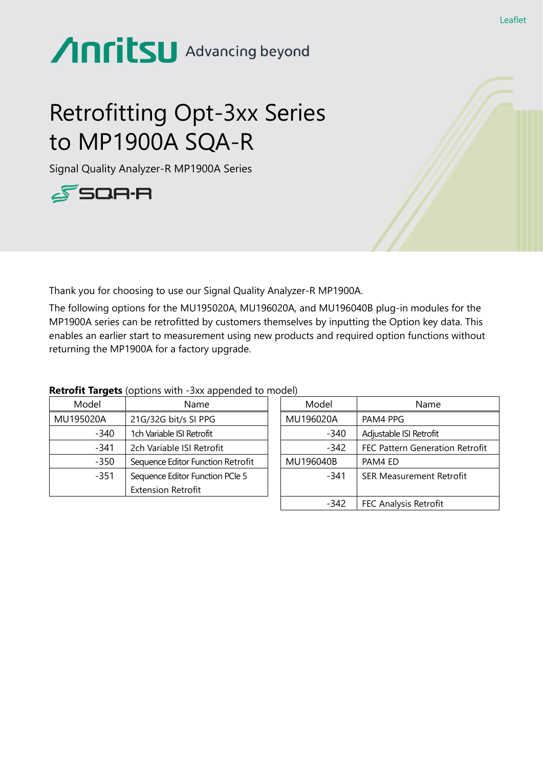## Anritsu Advancing beyond

### Retrofitting Opt-3xx Series to MP1900A SQA-R

Signal Quality Analyzer-R MP1900A Series



Thank you for choosing to use our Signal Quality Analyzer-R MP1900A.

The following options for the MU195020A, MU196020A, and MU196040B plug-in modules for the MP1900A series can be retrofitted by customers themselves by inputting the Option key data. This enables an earlier start to measurement using new products and required option functions without returning the MP1900A for a factory upgrade.

| Model     | Name                              | Model     | Name                     |
|-----------|-----------------------------------|-----------|--------------------------|
| MU195020A | 21G/32G bit/s SI PPG              | MU196020A | PAM4 PPG                 |
| $-340$    | 1ch Variable ISI Retrofit         | $-340$    | Adjustable ISI Retrofit  |
| $-341$    | 2ch Variable ISI Retrofit         | $-342$    | FEC Pattern Genera       |
| $-350$    | Sequence Editor Function Retrofit | MU196040B | PAM4 ED                  |
| $-351$    | Sequence Editor Function PCIe 5   | -341      | <b>SER Measurement F</b> |
|           | <b>Extension Retrofit</b>         |           |                          |
|           |                                   |           |                          |

#### MU196020A | PAM4 PPG -340 | Adjustable ISI Retrofit -342 | FEC Pattern Generation Retrofit MU196040B | PAM4 ED -341 SER Measurement Retrofit -342 FEC Analysis Retrofit

# **Retrofit Targets** (options with -3xx appended to model)